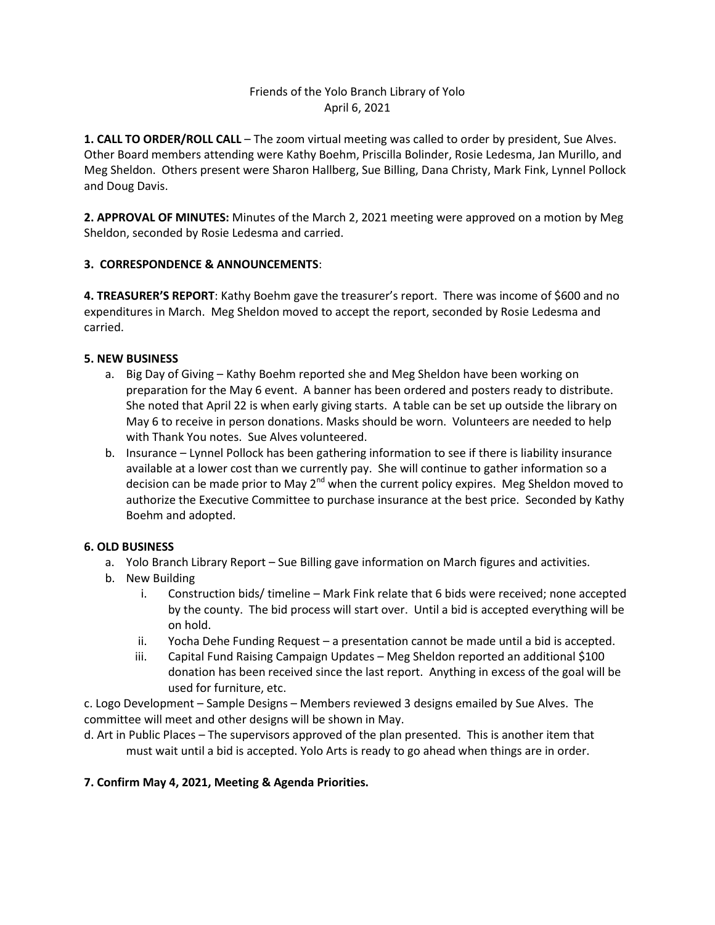## Friends of the Yolo Branch Library of Yolo April 6, 2021

**1. CALL TO ORDER/ROLL CALL** – The zoom virtual meeting was called to order by president, Sue Alves. Other Board members attending were Kathy Boehm, Priscilla Bolinder, Rosie Ledesma, Jan Murillo, and Meg Sheldon. Others present were Sharon Hallberg, Sue Billing, Dana Christy, Mark Fink, Lynnel Pollock and Doug Davis.

**2. APPROVAL OF MINUTES:** Minutes of the March 2, 2021 meeting were approved on a motion by Meg Sheldon, seconded by Rosie Ledesma and carried.

### **3. CORRESPONDENCE & ANNOUNCEMENTS**:

**4. TREASURER'S REPORT**: Kathy Boehm gave the treasurer's report. There was income of \$600 and no expenditures in March. Meg Sheldon moved to accept the report, seconded by Rosie Ledesma and carried.

### **5. NEW BUSINESS**

- a. Big Day of Giving Kathy Boehm reported she and Meg Sheldon have been working on preparation for the May 6 event. A banner has been ordered and posters ready to distribute. She noted that April 22 is when early giving starts. A table can be set up outside the library on May 6 to receive in person donations. Masks should be worn. Volunteers are needed to help with Thank You notes. Sue Alves volunteered.
- b. Insurance Lynnel Pollock has been gathering information to see if there is liability insurance available at a lower cost than we currently pay. She will continue to gather information so a decision can be made prior to May  $2^{nd}$  when the current policy expires. Meg Sheldon moved to authorize the Executive Committee to purchase insurance at the best price. Seconded by Kathy Boehm and adopted.

## **6. OLD BUSINESS**

- a. Yolo Branch Library Report Sue Billing gave information on March figures and activities.
- b. New Building
	- i. Construction bids/ timeline Mark Fink relate that 6 bids were received; none accepted by the county. The bid process will start over. Until a bid is accepted everything will be on hold.
	- ii. Yocha Dehe Funding Request a presentation cannot be made until a bid is accepted.
	- iii. Capital Fund Raising Campaign Updates Meg Sheldon reported an additional \$100 donation has been received since the last report. Anything in excess of the goal will be used for furniture, etc.

c. Logo Development – Sample Designs – Members reviewed 3 designs emailed by Sue Alves. The committee will meet and other designs will be shown in May.

d. Art in Public Places – The supervisors approved of the plan presented. This is another item that must wait until a bid is accepted. Yolo Arts is ready to go ahead when things are in order.

#### **7. Confirm May 4, 2021, Meeting & Agenda Priorities.**